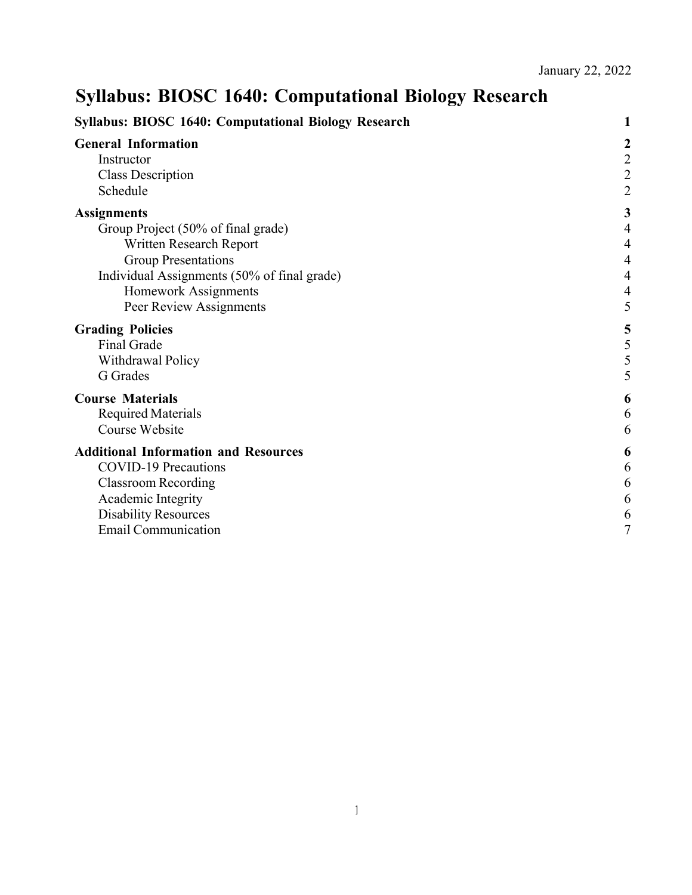# **Syllabus: BIOSC 1640: Computational Biology Research**

| <b>Syllabus: BIOSC 1640: Computational Biology Research</b>                                                                                                                                                         |                                                                                                              |  |
|---------------------------------------------------------------------------------------------------------------------------------------------------------------------------------------------------------------------|--------------------------------------------------------------------------------------------------------------|--|
| <b>General Information</b><br>Instructor<br><b>Class Description</b><br>Schedule                                                                                                                                    | $\boldsymbol{c}$<br>$\frac{2}{2}$<br>$\overline{c}$                                                          |  |
| <b>Assignments</b><br>Group Project (50% of final grade)<br>Written Research Report<br><b>Group Presentations</b><br>Individual Assignments (50% of final grade)<br>Homework Assignments<br>Peer Review Assignments | 3<br>$\overline{\mathcal{A}}$<br>$\overline{\mathcal{L}}$<br>$\overline{\mathcal{L}}$<br>$\overline{4}$<br>5 |  |
| <b>Grading Policies</b><br>Final Grade<br>Withdrawal Policy<br>G Grades                                                                                                                                             | 5<br>5                                                                                                       |  |
| <b>Course Materials</b><br><b>Required Materials</b><br>Course Website                                                                                                                                              | 6<br>6<br>6                                                                                                  |  |
| <b>Additional Information and Resources</b><br><b>COVID-19 Precautions</b><br><b>Classroom Recording</b><br>Academic Integrity<br><b>Disability Resources</b><br><b>Email Communication</b>                         | 6<br>6<br>6<br>6<br>6<br>7                                                                                   |  |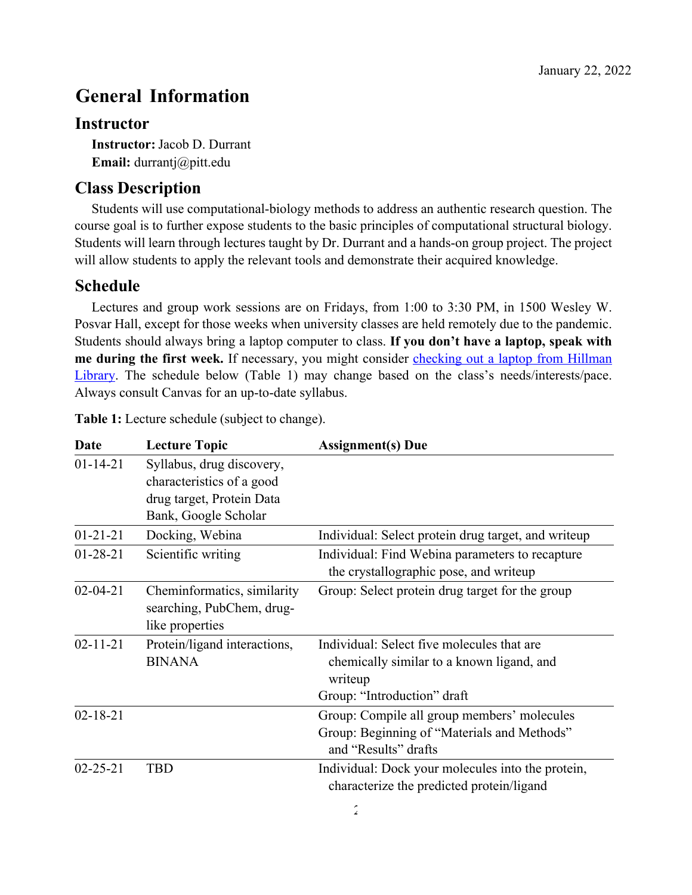## **General Information**

#### **Instructor**

**Instructor:**Jacob D. Durrant **Email:** durrantj@pitt.edu

## **Class Description**

Students will use computational-biology methods to address an authentic research question. The course goal is to further expose students to the basic principles of computational structural biology. Students will learn through lectures taught by Dr. Durrant and a hands-on group project. The project will allow students to apply the relevant tools and demonstrate their acquired knowledge.

#### **Schedule**

Lectures and group work sessions are on Fridays, from 1:00 to 3:30 PM, in 1500 Wesley W. Posvar Hall, except for those weeks when university classes are held remotely due to the pandemic. Students should always bring a laptop computer to class. **If you don't have a laptop, speak with**  me during the first week. If necessary, you might consider checking out a laptop from Hillman Library. The schedule below (Table 1) may change based on the class's needs/interests/pace. Always consult Canvas for an up-to-date syllabus.

| Date           | <b>Lecture Topic</b>         | <b>Assignment(s)</b> Due                            |
|----------------|------------------------------|-----------------------------------------------------|
| $01 - 14 - 21$ | Syllabus, drug discovery,    |                                                     |
|                | characteristics of a good    |                                                     |
|                | drug target, Protein Data    |                                                     |
|                | Bank, Google Scholar         |                                                     |
| $01 - 21 - 21$ | Docking, Webina              | Individual: Select protein drug target, and writeup |
| $01 - 28 - 21$ | Scientific writing           | Individual: Find Webina parameters to recapture     |
|                |                              | the crystallographic pose, and writeup              |
| $02 - 04 - 21$ | Cheminformatics, similarity  | Group: Select protein drug target for the group     |
|                | searching, PubChem, drug-    |                                                     |
|                | like properties              |                                                     |
| $02 - 11 - 21$ | Protein/ligand interactions, | Individual: Select five molecules that are          |
|                | <b>BINANA</b>                | chemically similar to a known ligand, and           |
|                |                              | writeup                                             |
|                |                              | Group: "Introduction" draft                         |
| $02 - 18 - 21$ |                              | Group: Compile all group members' molecules         |
|                |                              | Group: Beginning of "Materials and Methods"         |
|                |                              | and "Results" drafts                                |
| $02 - 25 - 21$ | <b>TBD</b>                   | Individual: Dock your molecules into the protein,   |
|                |                              | characterize the predicted protein/ligand           |
|                |                              |                                                     |

**Table 1:** Lecture schedule (subject to change).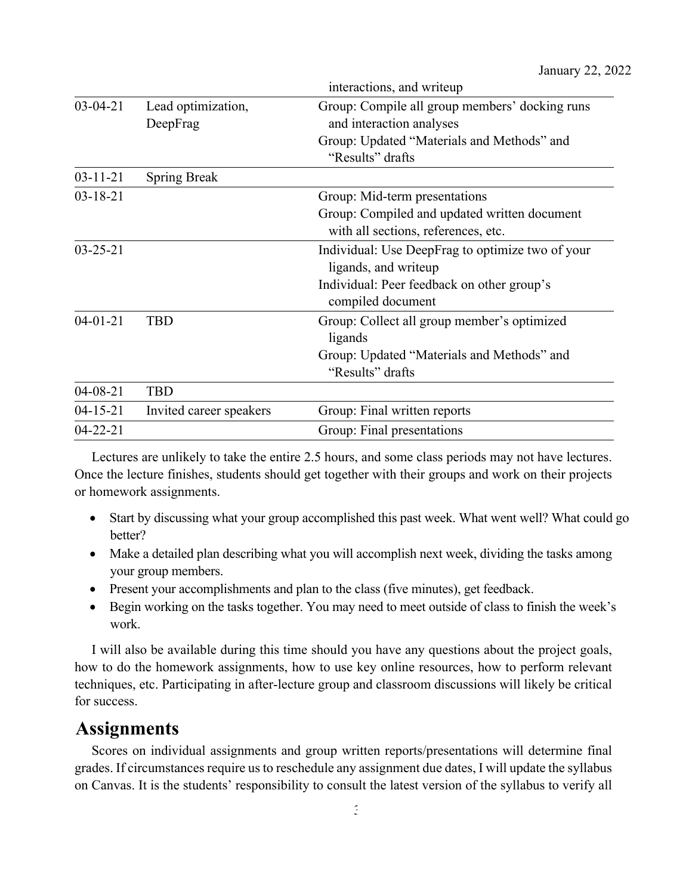|                |                                | interactions, and writeup                                                                                                                    |
|----------------|--------------------------------|----------------------------------------------------------------------------------------------------------------------------------------------|
| $03-04-21$     | Lead optimization,<br>DeepFrag | Group: Compile all group members' docking runs<br>and interaction analyses<br>Group: Updated "Materials and Methods" and<br>"Results" drafts |
| $03 - 11 - 21$ | <b>Spring Break</b>            |                                                                                                                                              |
| $03 - 18 - 21$ |                                | Group: Mid-term presentations                                                                                                                |
|                |                                | Group: Compiled and updated written document                                                                                                 |
|                |                                | with all sections, references, etc.                                                                                                          |
| $03 - 25 - 21$ |                                | Individual: Use DeepFrag to optimize two of your                                                                                             |
|                |                                | ligands, and writeup                                                                                                                         |
|                |                                | Individual: Peer feedback on other group's                                                                                                   |
|                |                                | compiled document                                                                                                                            |
| $04 - 01 - 21$ | <b>TBD</b>                     | Group: Collect all group member's optimized                                                                                                  |
|                |                                | ligands                                                                                                                                      |
|                |                                | Group: Updated "Materials and Methods" and                                                                                                   |
|                |                                | "Results" drafts                                                                                                                             |
| $04 - 08 - 21$ | <b>TBD</b>                     |                                                                                                                                              |
| $04 - 15 - 21$ | Invited career speakers        | Group: Final written reports                                                                                                                 |
| $04 - 22 - 21$ |                                | Group: Final presentations                                                                                                                   |

Lectures are unlikely to take the entire 2.5 hours, and some class periods may not have lectures. Once the lecture finishes, students should get together with their groups and work on their projects or homework assignments.

- Start by discussing what your group accomplished this past week. What went well? What could go better?
- Make a detailed plan describing what you will accomplish next week, dividing the tasks among your group members.
- Present your accomplishments and plan to the class (five minutes), get feedback.
- Begin working on the tasks together. You may need to meet outside of class to finish the week's work.

I will also be available during this time should you have any questions about the project goals, how to do the homework assignments, how to use key online resources, how to perform relevant techniques, etc. Participating in after-lecture group and classroom discussions will likely be critical for success.

## **Assignments**

Scores on individual assignments and group written reports/presentations will determine final grades. If circumstances require us to reschedule any assignment due dates, I will update the syllabus on Canvas. It is the students' responsibility to consult the latest version of the syllabus to verify all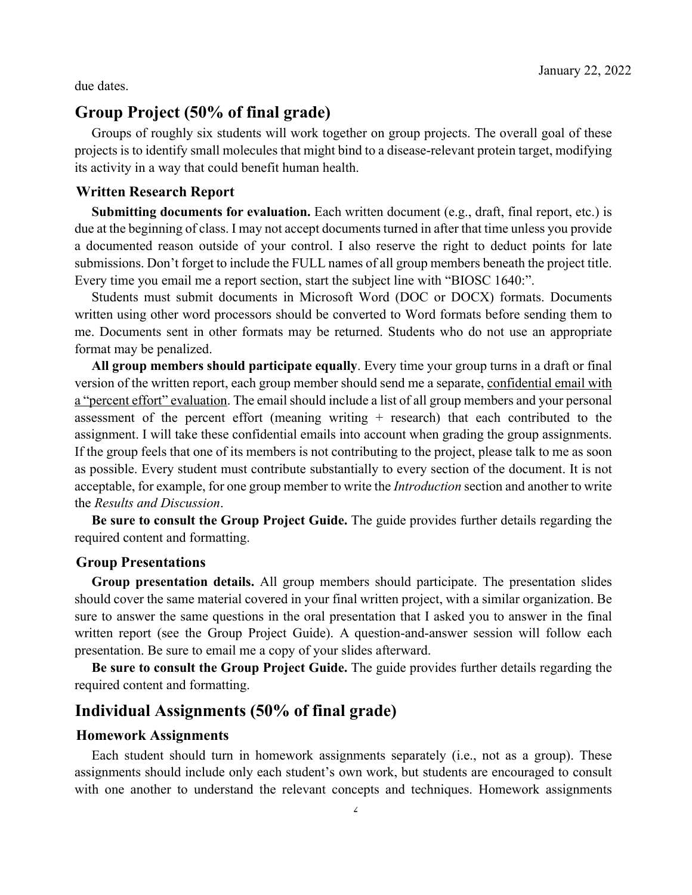due dates.

### **Group Project (50% of final grade)**

Groups of roughly six students will work together on group projects. The overall goal of these projects is to identify small molecules that might bind to a disease-relevant protein target, modifying its activity in a way that could benefit human health.

#### **Written Research Report**

**Submitting documents for evaluation.** Each written document (e.g., draft, final report, etc.) is due at the beginning of class. I may not accept documents turned in after that time unless you provide a documented reason outside of your control. I also reserve the right to deduct points for late submissions. Don't forget to include the FULL names of all group members beneath the project title. Every time you email me a report section, start the subject line with "BIOSC 1640:".

Students must submit documents in Microsoft Word (DOC or DOCX) formats. Documents written using other word processors should be converted to Word formats before sending them to me. Documents sent in other formats may be returned. Students who do not use an appropriate format may be penalized.

**All group members should participate equally**. Every time your group turns in a draft or final version of the written report, each group member should send me a separate, confidential email with a "percent effort" evaluation. The email should include a list of all group members and your personal assessment of the percent effort (meaning writing  $+$  research) that each contributed to the assignment. I will take these confidential emails into account when grading the group assignments. If the group feels that one of its members is not contributing to the project, please talk to me as soon as possible. Every student must contribute substantially to every section of the document. It is not acceptable, for example, for one group member to write the *Introduction* section and another to write the *Results and Discussion*.

**Be sure to consult the Group Project Guide.** The guide provides further details regarding the required content and formatting.

#### **Group Presentations**

**Group presentation details.** All group members should participate. The presentation slides should cover the same material covered in your final written project, with a similar organization. Be sure to answer the same questions in the oral presentation that I asked you to answer in the final written report (see the Group Project Guide). A question-and-answer session will follow each presentation. Be sure to email me a copy of your slides afterward.

**Be sure to consult the Group Project Guide.** The guide provides further details regarding the required content and formatting.

### **Individual Assignments (50% of final grade)**

#### **Homework Assignments**

Each student should turn in homework assignments separately (i.e., not as a group). These assignments should include only each student's own work, but students are encouraged to consult with one another to understand the relevant concepts and techniques. Homework assignments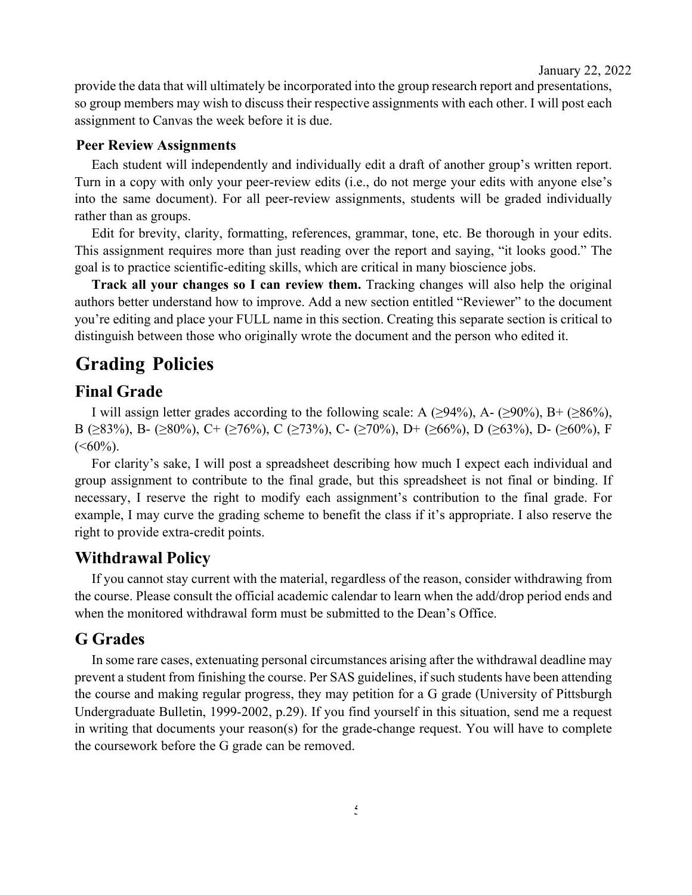provide the data that will ultimately be incorporated into the group research report and presentations, so group members may wish to discuss their respective assignments with each other. I will post each assignment to Canvas the week before it is due.

#### **Peer Review Assignments**

Each student will independently and individually edit a draft of another group's written report. Turn in a copy with only your peer-review edits (i.e., do not merge your edits with anyone else's into the same document). For all peer-review assignments, students will be graded individually rather than as groups.

Edit for brevity, clarity, formatting, references, grammar, tone, etc. Be thorough in your edits. This assignment requires more than just reading over the report and saying, "it looks good." The goal is to practice scientific-editing skills, which are critical in many bioscience jobs.

**Track all your changes so I can review them.** Tracking changes will also help the original authors better understand how to improve. Add a new section entitled "Reviewer" to the document you're editing and place your FULL name in this section. Creating this separate section is critical to distinguish between those who originally wrote the document and the person who edited it.

## **Grading Policies**

## **Final Grade**

I will assign letter grades according to the following scale: A ( $\geq$ 94%), A-( $\geq$ 90%), B+( $\geq$ 86%), B (≥83%), B- (≥80%), C+ (≥76%), C (≥73%), C- (≥70%), D+ (≥66%), D (≥63%), D- (≥60%), F  $(<60\%)$ .

For clarity's sake, I will post a spreadsheet describing how much I expect each individual and group assignment to contribute to the final grade, but this spreadsheet is not final or binding. If necessary, I reserve the right to modify each assignment's contribution to the final grade. For example, I may curve the grading scheme to benefit the class if it's appropriate. I also reserve the right to provide extra-credit points.

## **Withdrawal Policy**

If you cannot stay current with the material, regardless of the reason, consider withdrawing from the course. Please consult the official academic calendar to learn when the add/drop period ends and when the monitored withdrawal form must be submitted to the Dean's Office.

## **G Grades**

In some rare cases, extenuating personal circumstances arising after the withdrawal deadline may prevent a student from finishing the course. Per SAS guidelines, if such students have been attending the course and making regular progress, they may petition for a G grade (University of Pittsburgh Undergraduate Bulletin, 1999-2002, p.29). If you find yourself in this situation, send me a request in writing that documents your reason(s) for the grade-change request. You will have to complete the coursework before the G grade can be removed.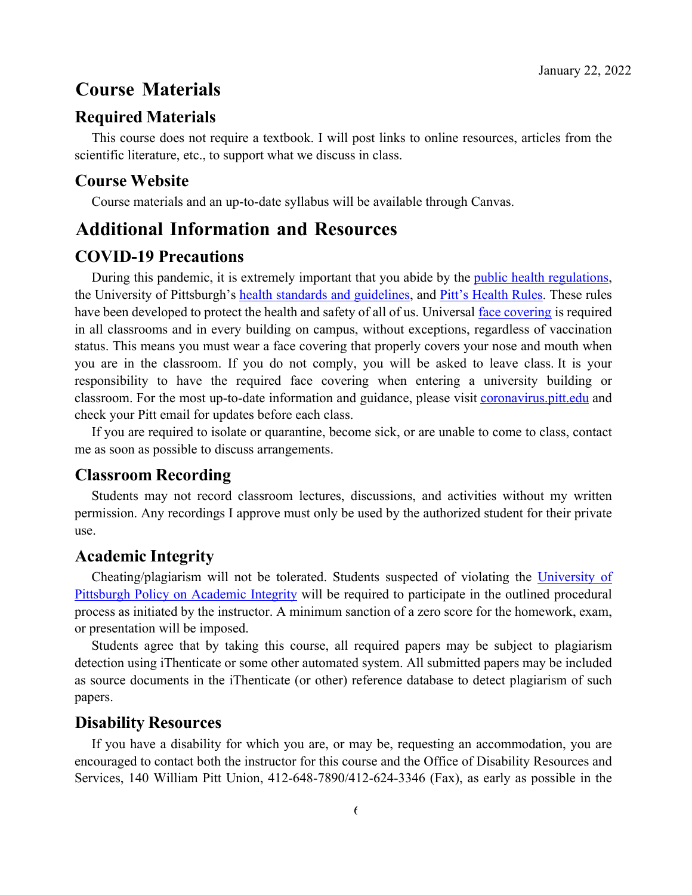## **Course Materials**

#### **Required Materials**

This course does not require a textbook. I will post links to online resources, articles from the scientific literature, etc., to support what we discuss in class.

#### **Course Website**

Course materials and an up-to-date syllabus will be available through Canvas.

## **Additional Information and Resources**

#### **COVID-19 Precautions**

During this pandemic, it is extremely important that you abide by the *public health regulations*, the University of Pittsburgh's health standards and guidelines, and Pitt's Health Rules. These rules have been developed to protect the health and safety of all of us. Universal face covering is required in all classrooms and in every building on campus, without exceptions, regardless of vaccination status. This means you must wear a face covering that properly covers your nose and mouth when you are in the classroom. If you do not comply, you will be asked to leave class. It is your responsibility to have the required face covering when entering a university building or classroom. For the most up-to-date information and guidance, please visit coronavirus.pitt.edu and check your Pitt email for updates before each class.

If you are required to isolate or quarantine, become sick, or are unable to come to class, contact me as soon as possible to discuss arrangements.

### **Classroom Recording**

Students may not record classroom lectures, discussions, and activities without my written permission. Any recordings I approve must only be used by the authorized student for their private use.

#### **Academic Integrity**

Cheating/plagiarism will not be tolerated. Students suspected of violating the University of Pittsburgh Policy on Academic Integrity will be required to participate in the outlined procedural process as initiated by the instructor. A minimum sanction of a zero score for the homework, exam, or presentation will be imposed.

Students agree that by taking this course, all required papers may be subject to plagiarism detection using iThenticate or some other automated system. All submitted papers may be included as source documents in the iThenticate (or other) reference database to detect plagiarism of such papers.

#### **Disability Resources**

If you have a disability for which you are, or may be, requesting an accommodation, you are encouraged to contact both the instructor for this course and the Office of Disability Resources and Services, 140 William Pitt Union, 412-648-7890/412-624-3346 (Fax), as early as possible in the